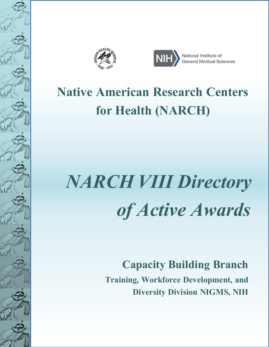



## **Native American Research Centers for Health (NARCH)**

# *NARCH VIII Directory of Active Awards*

## **Capacity Building Branch**

 **Training, Workforce Development, and Diversity Division NIGMS, NIH**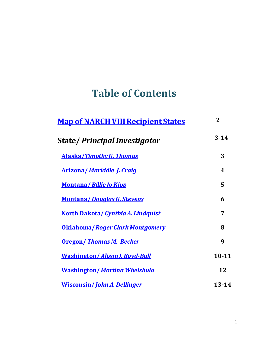## **Table of Contents**

| <b>Map of NARCH VIII Recipient States</b> | $\overline{2}$ |
|-------------------------------------------|----------------|
| <b>State/Principal Investigator</b>       | $3 - 14$       |
| <b>Alaska/Timothy K. Thomas</b>           | 3              |
| <b>Arizona/ Mariddie J. Craig</b>         | 4              |
| <u> Montana/Billie Jo Kipp</u>            | 5              |
| <b>Montana/Douglas K. Stevens</b>         | 6              |
| <b>North Dakota/ Cynthia A. Lindquist</b> | 7              |
| <b>Oklahoma / Roger Clark Montgomery</b>  | 8              |
| <b>Oregon/Thomas M. Becker</b>            | 9              |
| <u>Washington/Alison J. Boyd-Ball</u>     | $10 - 11$      |
| <b>Washington/ Martina Whelshula</b>      | 12             |
| <b>Wisconsin/John A. Dellinger</b>        | $13 - 14$      |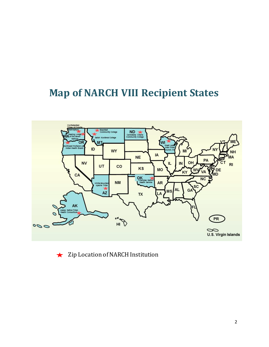### <span id="page-2-0"></span>**Map of NARCH VIII Recipient States**



Zip Location of NARCH Institution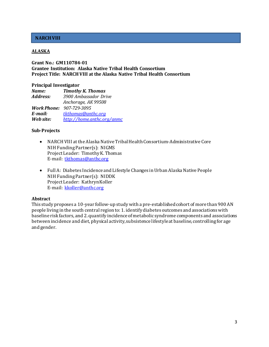#### <span id="page-3-0"></span>**ALASKA**

#### **Grant No.: GM110784-01 Grantee Institution: Alaska Native Tribal Health Consortium Project Title: NARCH VIII at the Alaska Native Tribal Health Consortium**

#### **Principal Investigator**

| Name:     | <b>Timothy K. Thomas</b>        |
|-----------|---------------------------------|
| Address:  | 3900 Ambassador Drive           |
|           | Anchorage, AK 99508             |
|           | <b>Work Phone: 907-729-3095</b> |
| E-mail:   | tkthomas@anthc.org              |
| Web site: | http://home.anthc.org/anmc      |

#### **Sub-Projects**

- NARCH VIII at the Alaska Native Tribal Health Consortium-Administrative Core NIH Funding Partner(s): NIGMS Project Leader: Timothy K. Thomas E-mail: [tkthomas@anthc.org](mailto:tkthomas@anthc.org?Subject=Grant%20No.%201S06GM110784-01%20)
- Full A: Diabetes Incidence and Lifestyle Changes in Urban Alaska Native People NIH Funding Partner(s): NIDDK Project Leader: Kathryn Koller E-mail: [kkoller@anthc.org](mailto:kkoller@anthc.org)

#### **Abstract**

This study proposes a 10-year follow-up study with a pre-established cohort of more than 900 AN people living in the south central region to: 1. identify diabetes outcomes and associationswith baseline risk factors, and 2. quantify incidence of metabolic syndrome components and associations between incidence and diet, physical activity, subsistence lifestyle at baseline, controlling for age and gender.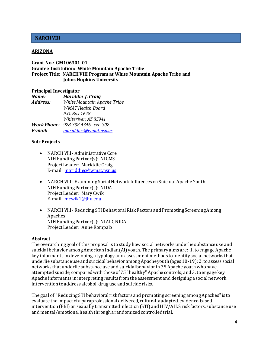#### <span id="page-4-0"></span>**ARIZONA**

**Grant No.: GM106301-01 Grantee Institution: White Mountain Apache Tribe Project Title: NARCH VIII Program at White Mountain Apache Tribe and Johns Hopkins University**

#### **Principal Investigator**

| Mariddie J. Craig                        |
|------------------------------------------|
| White Mountain Apache Tribe              |
| WMAT Health Board                        |
| P.O. Box 1648                            |
| Whiteriver, AZ 85941                     |
| <b>Work Phone: 928-338-4346 ext. 302</b> |
| mariddiec@wmat.nsn.us                    |
|                                          |

#### **Sub-Projects**

- NARCH Vlll Administrative Core NIH Funding Partner(s): NIGMS Project Leader: Mariddie Craig E-mail: [mariddiec@wmat.nsn.us](mailto:mariddiec@wmat.nsn.us)
- NARCH Vlll Examining Social Network Influences on Suicidal Apache Youth NIH Funding Partner(s): NIDA Project Leader: Mary Cwik E-mail: [mcwik1@jhu.edu](mailto:mcwik1@jhu.edu)
- NARCH Vlll Reducing STI Behavioral Risk Factors and Promoting Screening Among Apaches NIH Funding Partner(s): NIAID, NIDA Project Leader: Anne Rompalo

#### **Abstract**

The overarching goal of this proposal is to study how social networks underlie substance use and suicidal behavior among American Indian (Al) youth. The primary aims are: 1. to engage Apache key informants in developing a typology and assessment methods to identify social networks that underlie substance use and suicidal behavior among Apache youth (ages 10-19); 2. to assess social networks that underlie substance use and suicidal behavior in 75 Apache youth who have attempted suicide, compared with those of 75 "healthy" Apache controls; and 3. to engage key Apache informants in interpreting results from the assessment and designing a social network intervention to address alcohol, drug use and suicide risks.

The goal of "Reducing STI behavioral risk factors and promoting screening among Apaches" is to evaluate the impact of a paraprofessional delivered, culturally adapted, evidence-based intervention (EBl) on sexually transmitted infection (STI) and HIV/AIDS risk factors, substance use and mental/emotional health through a randomized controlled trial.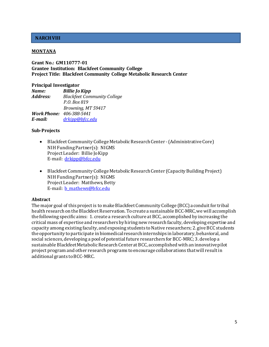#### <span id="page-5-0"></span>**MONTANA**

**Grant No.: GM110777-01 Grantee Institution: Blackfeet Community College Project Title: Blackfeet Community College Metabolic Research Center**

#### **Principal Investigator**

*Name: Billie Jo Kipp Address: Blackfeet Community College P.O. Box 819 Browning, MT 59417 Work Phone: 406-388-5441 E-mail: [drkipp@bfcc.edu](mailto:drkipp@bfcc.edu)*

#### **Sub-Projects**

- Blackfeet Community College Metabolic Research Center (Administrative Core) NIH Funding Partner(s): NIGMS Project Leader: Billie Jo Kipp E-mail: [drkipp@bfcc.edu](mailto:drkipp@bfcc.edu)
- Blackfeet Community College Metabolic Research Center (Capacity Building Project) NIH Funding Partner(s): NIGMS Project Leader: Matthews, Betty E-mail: [b\\_mathews@bfcc.edu](mailto:b_mathews@bfcc.edu)

#### **Abstract**

The major goal of this project is to make Blackfeet Community College (BCC) a conduit for tribal health research on the Blackfeet Reservation. To create a sustainable BCC-MRC, we will accomplish the following specific aims: 1. create a research culture at BCC, accomplished by increasing the critical mass of expertise and researchers by hiring new research faculty, developing expertise and capacity among existing faculty, and exposing students to Native researchers; 2. give BCC students the opportunity to participate in biomedical research internships in laboratory, behavioral, and social sciences, developing a pool of potential future researchers for BCC-MRC; 3. develop a sustainable Blackfeet Metabolic Research Center at BCC, accomplished with an innovative pilot project program and other research programs to encourage collaborations that will result in additional grants to BCC-MRC.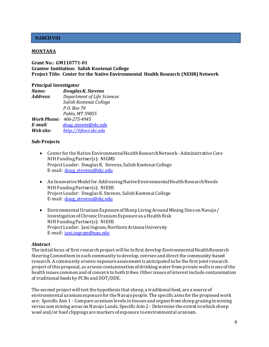#### <span id="page-6-0"></span>**MONTANA**

#### **Grant No.: GM110771-01 Grantee Institution: Salish Kootenai College Project Title: Center for the Native Environmental Health Research (NEHR) Network**

#### **Principal Investigator**

| Name:     | <b>Douglas K. Stevens</b>       |
|-----------|---------------------------------|
| Address:  | Department of Life Sciences     |
|           | Salish Kootenai College         |
|           | P.O. Box 70                     |
|           | Pablo, MT 59855                 |
|           | <b>Work Phone: 406-275-4945</b> |
| E-mail:   | doug stevens@skc.edu            |
| Web site: | http://lifesci.skc.edu          |

#### **Sub-Projects**

- Center for the Native Environmental Health Research Network Administrative Core NIH Funding Partner(s): NIGMS Project Leader: Douglas K. Stevens, Salish Kootenai College E-mail: [doug\\_stevens@skc.edu](mailto:DOUG_STEVENS@SKC.EDU)
- An Innovative Model for Addressing Native Environmental Health Research Needs NIH Funding Partner(s): NIEHS Project Leader: Douglas K. Stevens, Salish Kootenai College E-mail: [doug\\_stevens@skc.edu](mailto:DOUG_STEVENS@SKC.EDU)
- Environmental Uranium Exposure of Sheep Living Around Mining Sites on Navajo / Investigation of Chronic Uranium Exposure as a Health Risk NIH Funding Partner(s): NIEHS Project Leader: Jani Ingram, Northern Arizona University E-mail: [jani.ingram@nau.edu](mailto:jani.ingram@nau.edu)

#### **Abstract**

The initial focus of first research project will be to first develop Environmental Health Research Steering Committees in each community to develop, oversee and direct the community-based research. A community arsenic exposure assessment is anticipated to be the first joint research project of this proposal, as arsenic contamination of drinking water from private wells is one of the health issues common and of concern to both tribes. Other issues of interest include contamination of traditional foods by PCBs and DDT/DDE.

The second project will test the hypothesis that sheep, a traditional food, are a source of environmental uranium exposure for the Navajo people. The specific aims for the proposed work are: Specific Aim 1 - Compare uranium levels in tissues and organs from sheep grazing in mining versus non mining areas on Navajo Lands. Specific Aim 2 - Determine the extent to which sheep wool and/or hoof clippings are markers of exposure to environmental uranium.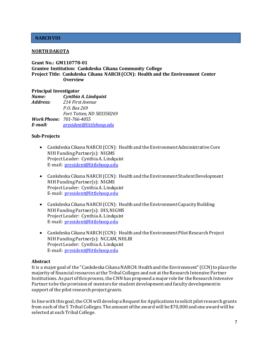#### <span id="page-7-0"></span>**NORTH DAKOTA**

#### **Grant No.: GM110778-01 Grantee Institution: Cankdeska Cikana Community College Project Title: Cankdeska Cikana NARCH (CCN): Health and the Environment Center Overview**

#### **Principal Investigator**

| Name:    | Cynthia A. Lindquist            |
|----------|---------------------------------|
| Address: | 214 First Avenue                |
|          | P.O. Box 269                    |
|          | Fort Totten, ND 583350269       |
|          | <b>Work Phone: 701-766-4055</b> |
| E-mail:  | president@littlehoop.edu        |

#### **Sub-Projects**

- Cankdeska Cikana NARCH (CCN): Health and the Environment Administrative Core NIH Funding Partner(s): NIGMS Project Leader: Cynthia A. Lindquist E-mail: [president@littlehoop.edu](mailto:president@littlehoop.edu?Subject=Grant%20No.%201S06GM110778-01%20)
- Cankdeska Cikana NARCH (CCN): Health and the Environment Student Development NIH Funding Partner(s): NIGMS Project Leader: Cynthia A. Lindquist E-mail: [president@littlehoop.edu](mailto:president@littlehoop.edu)
- Cankdeska Cikana NARCH (CCN): Health and the Environment Capacity Building NIH Funding Partner(s): IHS, NIGMS Project Leader: Cynthia A. Lindquist E-mail: [president@littlehoop.edu](mailto:president@littlehoop.edu)
- Cankdeska Cikana NARCH (CCN): Health and the Environment Pilot Research Project NIH Funding Partner(s): NCCAM, NHLBI Project Leader: Cynthia A. Lindquist E-mail: [president@littlehoop.edu](mailto:president@littlehoop.edu)

#### **Abstract**

It is a major goal of the "Cankdeska Cikana NARCH: Health and the Environment" (CCN) to place the majority of financial resources at the Tribal Colleges and not at the Research Intensive Partner Institutions. As part of this process, the CNN has proposed a major role for the Research Intensive Partner to be the provision of mentors for student development and faculty development in support of the pilot research project grants.

In line with this goal, the CCN will develop a Request for Applications to solicit pilot research grants from each of the 5 Tribal Colleges. The amount of the award will be \$70,000 and one award will be selected at each Tribal College.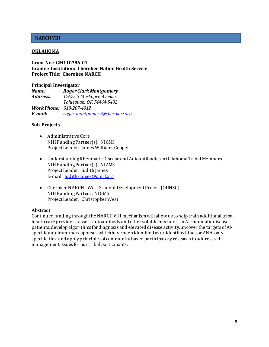#### <span id="page-8-0"></span>**OKLAHOMA**

**Grant No.: GM110786-01 Grantee Institution: Cherokee Nation Health Service Project Title: Cherokee NARCH**

#### **Principal Investigator**

| Name:    | <b>Roger Clark Montgomery</b>   |
|----------|---------------------------------|
| Address: | 17675 S Muskogee Avenue         |
|          | Tahleguah, OK 74464-5492        |
|          | <b>Work Phone: 918-207-4912</b> |
| E-mail:  | roger-montgomery@cherokee.org   |

#### **Sub-Projects**

- Administrative Core NIH Funding Partner(s): NIGMS Project Leader: James Williams Cooper
- Understanding Rheumatic Disease and Autoantibodies in Oklahoma Tribal Members NIH Funding Partner(s): NIAMS Project Leader: Judith James E-mail: [Judith-James@omrf.org](mailto:Judith-James@omrf.org)
- Cherokee NARCH West Student Development Project (OUHSC) NIH Funding Partner: NIGMS Project Leader: Christopher West

#### **Abstract**

Continued funding through the NARCH VIII mechanism will allow us to help train additional tribal health care providers, assess autoantibody and other soluble mediators in Al rheumatic disease patients, develop algorithms for diagnosis and elevated disease activity, uncover the targets of Alspecific autoimmune responses which have been identified as unidentified lines or ANA-only specificities, and apply principles of community based participatory research to address selfmanagement issues for our tribal participants.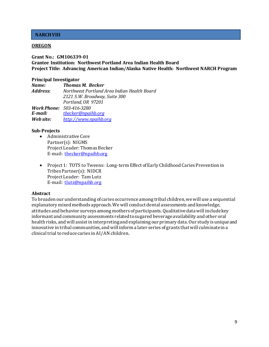#### <span id="page-9-0"></span>**OREGON**

#### **Grant No.: GM106339-01 Grantee Institution: Northwest Portland Area Indian Health Board Project Title: Advancing American Indian/Alaska Native Health: Northwest NARCH Program**

#### **Principal Investigator**

| Name:     | <b>Thomas M. Becker</b>                     |
|-----------|---------------------------------------------|
| Address:  | Northwest Portland Area Indian Health Board |
|           | 2121 S.W. Broadway, Suite 300               |
|           | Portland, OR 97201                          |
|           | <b>Work Phone: 503-416-3280</b>             |
| E-mail:   | thecker@npaihb.org                          |
| Web site: | http://www.npaihb.org                       |

#### **Sub-Projects**

- Administrative Core Partner(s): NIGMS Project Leader: Thomas Becker E-mail: [tbecker@npaihb.org](mailto:tbecker@npaihb.org)
- Project 1: TOTS to Tweens: Long-term Effect of Early Childhood Caries Prevention in Tribes Partner(s): NIDCR Project Leader: Tam Lutz E-mail: tlutz@npaihb.org

#### **Abstract**

To broaden our understanding of caries occurrence among tribal children, we will use a sequential explanatory mixed methods approach. We will conduct dental assessments and knowledge, attitudes and behavior surveys among mothers of participants. Qualitative data will include key informant and community assessments related to sugared beverage availability and other oral health risks, and will assist in interpreting and explaining our primary data. Our study is unique and innovative in tribal communities, and will inform a later series of grants that will culminate in a clinical trial to reduce caries in AI/AN children.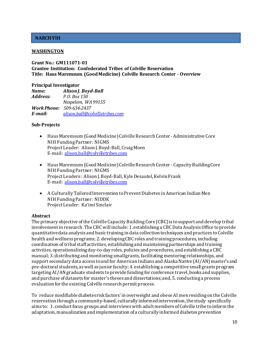#### <span id="page-10-0"></span>**WASHINGTON**

#### **Grant No.: GM111071-01 Grantee Institution: Confederated Tribes of Colville Reservation Title: Haus Maremsum (Good Medicine) Colville Research Center - Overview**

#### **Principal Investigator**

| Name:    | Alison J. Boyd-Ball             |
|----------|---------------------------------|
| Address: | P.O. Box 150                    |
|          | Nespelem, WA 99155              |
|          | <b>Work Phone:</b> 509-634-2437 |
| E-mail:  | alison.ball@colvilletribes.com  |

#### **Sub-Projects**

- Haus Maremsum (Good Medicine) Colville Research Center Administrative Core NIH Funding Partner: NIGMS Project Leader: Alison J. Boyd-Ball, Craig Moen E-mail: [alison.ball@colvilletribes.com](mailto:alison.ball@colvilletribes.com)
- Haus Maremsum (Good Medicine) Colville Research Center Capacity Building Core NIH Funding Partner: NIGMS Project Leaders: Alison J. Boyd-Ball, Kyle Desautel, Kelvin Frank E-mail: [alison.ball@colvilletribes.com](mailto:alison.ball@colvilletribes.com)
- A Culturally Tailored Intervention to Prevent Diabetes in American Indian Men NIH Funding Partner: NIDDK Project Leader: Ka'imi Sinclair

#### **Abstract**

The primary objective of the Colville Capacity Building Core (CBC) is to support and develop tribal involvement in research. The CBC will include: 1. establishing a CBC Data Analysis Office to provide quantitative data analysis and basic training in data collection techniques and practices to Colville health and wellness programs; 2. developing CBC roles and training procedures, including coordination of tribal staff activities, establishing and maintaining partnerships and training activities, operationalizing day-to-day roles, policies and procedures, and establishing a CBC manual; 3. distributing and monitoring small grants, facilitating mentoring relationships, and support secondary data access to and for American Indians and Alaska Native (AI/AN) master's and pre-doctoral students, as well as junior faculty; 4. establishing a competitive small grants program targeting AI/AN graduate students to provide funding for conference travel, books and supplies, and purchase of datasets for master's theses and dissertations; and, 5. conducting a process evaluation for the existing Colville research permit process.

To reduce modifiable diabetes risk factors' in overweight and obese AI men residing on the Colville reservation through a community-based, culturally informed intervention, the study specifically aims to: 1. conduct focus groups and interviews with adult members of Colville tribe to inform the adaptation, manualization and implementation of a culturally informed diabetes prevention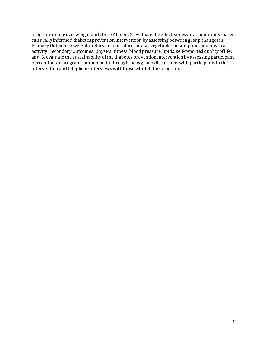program among overweight and obese AI men; 2. evaluate the effectiveness of a community-based, culturally informed diabetes prevention intervention by assessing between group changes in: Primary Outcomes: weight, dietary fat and caloric intake, vegetable consumption, and physical activity; Secondary Outcomes: physical fitness, blood pressure, lipids, self-reported quality of life; and, 3. evaluate the sustainability of the diabetes prevention intervention by assessing participant perceptions of program component fit through focus group discussions with participants in the intervention and telephone interviews with those who left the program.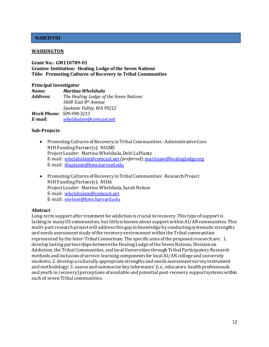#### <span id="page-12-0"></span>**WASHINGTON**

#### **Grant No.: GM110789-01 Grantee Institution: Healing Lodge of the Seven Nations Title: Promoting Cultures of Recovery in Tribal Communities**

#### **Principal Investigator**

*Name: Martina Whelshula Address: The Healing Lodge of the Seven Nations 5600 East 8th Avenue Spokane Valley, WA 99212 Work Phone: 509-998-3213 E-mail: [whelshulam@comcast.net](mailto:whelshulam@comcast.net)*

#### **Sub-Projects**

- Promoting Cultures of Recovery in Tribal Communities Administrative Core NIH Funding Partner(s): NIGMS Project Leader: Martina Whelshula, Debi LaPlante E-mail: [whelshulam@comcast.net](mailto:whelshulam@comcast.net)*(preferred)*[; martinaw@healinglodge.org](mailto:martinaw@healinglodge.org) E-mail: [dlaplante@hms.harvard.edu](mailto:dlaplante@hms.harvard.edu)
- Promoting Cultures of Recovery in Tribal Communities: Research Project NIH Funding Partner(s): NIDA Project Leader: Martina Whelshula, Sarah Nelson E-mail: [whelshulam@comcast.net](mailto:whelshulam@comcast.net) E-mail: [snelson@hms.harvard.edu](mailto:snelson@hms.harvard.edu)

#### **Abstract**

Long-term support after treatment for addiction is crucial to recovery. This type of support is lacking in many US communities, but little is known about support within AI/AN communities. This multi-part research project will address this gap in knowledge by conducting systematic strengths and needs assessment study of the recovery environment within the Tribal communities represented by the Inter-Tribal Consortium. The specific aims of the proposed research are: 1. develop lasting partnerships between the Healing Lodge of the Seven Nations, Division on Addiction, the Tribal Communities, and local Universities through Tribal Participatory Research methods and inclusion of service-learning components for local AI/AN college and university students; 2. develop a culturally appropriate strengths and needs assessment survey instrument and methodology; 3. assess and summarize key informants' (i.e., educators, health professionals and youth in recovery) perceptions of available and potential post-recovery support systems within each of seven Tribal communities.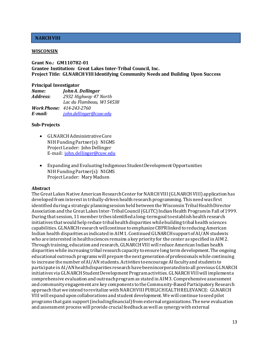#### <span id="page-13-0"></span>**WISCONSIN**

#### **Grant No.: GM110782-01 Grantee Institution: Great Lakes Inter-Tribal Council, Inc. Project Title: GLNARCH VIII Identifying Community Needs and Building Upon Success**

#### **Principal Investigator**

| Name:                           | John A. Dellinger         |
|---------------------------------|---------------------------|
| Address:                        | 2932 Highway 47 North     |
|                                 | Lac du Flambeau, WI 54538 |
| <b>Work Phone:</b> 414-243-2760 |                           |
| E-mail:                         | john.dellinger@cuw.edu    |

#### **Sub-Projects**

- GLNARCH Administrative Core NIH Funding Partner(s): NIGMS Project Leader: John Dellinger E-mail: [john.dellinger@cuw.edu](mailto:john.dellinger@cuw.edu)
- Expanding and Evaluating Indigenous Student Development Opportunities NIH Funding Partner(s): NIGMS Project Leader: Mary Madsen

#### **Abstract**

The Great Lakes Native American Research Center for NARCH VIII(GLNARCH VIII) application has developed from interest in tribally-driven health research programming. This need was first identified during a strategic planning session held between the Wisconsin Tribal Health Director Association and the Great Lakes Inter-Tribal Council (GLITC) Indian Health Program in Fall of 1999. During that session, 11 member tribes identified a long-term goal to establish health research initiatives that would help reduce tribal health disparities while building tribal health sciences capabilities. GLNARCH research will continue to emphasize CBPR linked to reducing American Indian health disparities as indicated in AIM 1. Continued GLNARCH support of AI/AN students who are interested in health sciences remains a key priority for the center as specified in AIM 2. Through training, education and research, GLNARCH VIII will reduce American Indian health disparities while increasing tribal research capacity to ensure long term development. The ongoing educational outreach programs will prepare the next generation of professionals while continuing to increase the number of AI/AN students. Activities to encourage AI faculty and students to participate in AI/AN health disparities research have been incorporated into all previous GLNARCH initiatives via GLNARCH Student Development Program activities. GLNARCH VIII will implement a comprehensive evaluation and outreach program as stated in AIM 3. Comprehensive assessment and community engagement are key components to the Community-Based Participatory Research approach that we intend to revitalize with NARCH VIII PUBLIC HEALTH RELEVANCE: GLNARCH VIII will expand upon collaborations and student development. We will continue to seed pilot programs that gain support (including financial) from external organizations. The new evaluation and assessment processwill provide crucial feedback as well as synergy with external